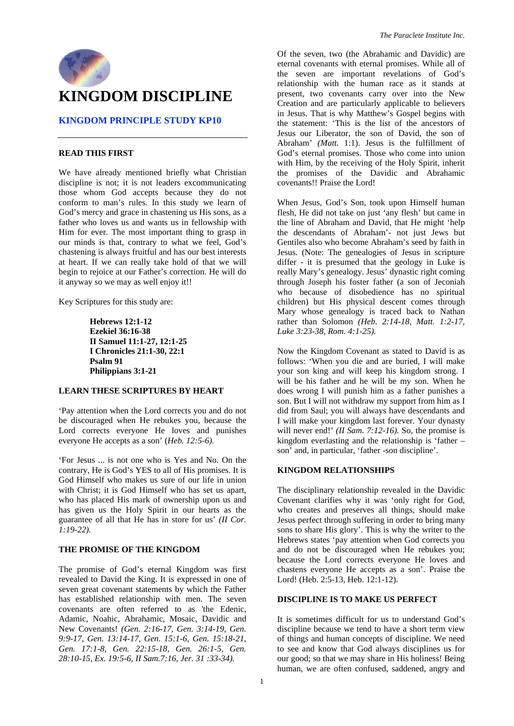

# **KINGDOM PRINCIPLE STUDY KP10**

# **READ THIS FIRST**

We have already mentioned briefly what Christian discipline is not; it is not leaders excommunicating those whom God accepts because they do not conform to man's rules. In this study we learn of God's mercy and grace in chastening us His sons, as a father who loves us and wants us in fellowship with Him for ever. The most important thing to grasp in our minds is that, contrary to what we feel, God's chastening is always fruitful and has our best interests at heart. If we can really take hold of that we will begin to rejoice at our Father's correction. He will do it anyway so we may as well enjoy it!!

Key Scriptures for this study are:

**Hebrews 12:1-12 Ezekiel 36:16-38 II Samuel 11:1-27, 12:1-25 I Chronicles 21:1-30, 22:1 Psalm 91 Philippians 3:1-21** 

# **LEARN THESE SCRIPTURES BY HEART**

'Pay attention when the Lord corrects you and do not be discouraged when He rebukes you, because the Lord corrects everyone He loves and punishes everyone He accepts as a son' (*Heb. 12:5-6).*

'For Jesus ... is not one who is Yes and No. On the contrary, He is God's YES to all of His promises. It is God Himself who makes us sure of our life in union with Christ; it is God Himself who has set us apart, who has placed His mark of ownership upon us and has given us the Holy Spirit in our hearts as the guarantee of all that He has in store for us' *(II Cor. 1:19-22).* 

#### **THE PROMISE OF THE KINGDOM**

The promise of God's eternal Kingdom was first revealed to David the King. It is expressed in one of seven great covenant statements by which the Father has established relationship with men. The seven covenants are often referred to as 'the Edenic, Adamic, Noahic, Abrahamic, Mosaic, Davidic and New Covenants! *(Gen. 2:16-17, Gen. 3:14-19, Gen. 9:9-17, Gen. 13:14-17, Gen. 15:1-6, Gen. 15:18-21, Gen. 17:1-8, Gen. 22:15-18, Gen. 26:1-5, Gen. 28:10-15, Ex. 19:5-6, II Sam.7:16, Jer. 31 :33-34).* 

Of the seven, two (the Abrahamic and Davidic) are eternal covenants with eternal promises. While all of the seven are important revelations of God's relationship with the human race as it stands at present, two covenants carry over into the New Creation and are particularly applicable to believers in Jesus. That is why Matthew's Gospel begins with the statement: 'This is the list of the ancestors of Jesus our Liberator, the son of David, the son of Abraham' *(Matt.* 1:1). Jesus is the fulfillment of God's eternal promises. Those who come into union with Him, by the receiving of the Holy Spirit, inherit the promises of the Davidic and Abrahamic covenants!! Praise the Lord!

When Jesus, God's Son, took upon Himself human flesh, He did not take on just 'any flesh' but came in the line of Abraham and David, that He might 'help the descendants of Abraham'- not just Jews but Gentiles also who become Abraham's seed by faith in Jesus. (Note: The genealogies of Jesus in scripture differ - it is presumed that the geology in Luke is really Mary's genealogy. Jesus' dynastic right coming through Joseph his foster father (a son of Jeconiah who because of disobedience has no spiritual children) but His physical descent comes through Mary whose genealogy is traced back to Nathan rather than Solomon *(Heb. 2:14-18, Matt. 1:2-17, Luke 3:23-38, Rom. 4:1-25).*

Now the Kingdom Covenant as stated to David is as follows: 'When you die and are buried, I will make your son king and will keep his kingdom strong. I will be his father and he will be my son. When he does wrong I will punish him as a father punishes a son. But I will not withdraw my support from him as I did from Saul; you will always have descendants and I will make your kingdom last forever. Your dynasty will never end!' *(II Sam. 7:12-16)*. So, the promise is kingdom everlasting and the relationship is 'father – son' and, in particular, 'father -son discipline'.

# **KINGDOM RELATIONSHIPS**

The disciplinary relationship revealed in the Davidic Covenant clarifies why it was 'only right for God, who creates and preserves all things, should make Jesus perfect through suffering in order to bring many sons to share His glory'. This is why the writer to the Hebrews states 'pay attention when God corrects you and do not be discouraged when He rebukes you; because the Lord corrects everyone He loves and chastens everyone He accepts as a son'. Praise the Lord! (Heb. 2:5-13, Heb. 12:1-12).

## **DISCIPLINE IS TO MAKE US PERFECT**

It is sometimes difficult for us to understand God's discipline because we tend to have a short term view of things and human concepts of discipline. We need to see and know that God always disciplines us for our good; so that we may share in His holiness! Being human, we are often confused, saddened, angry and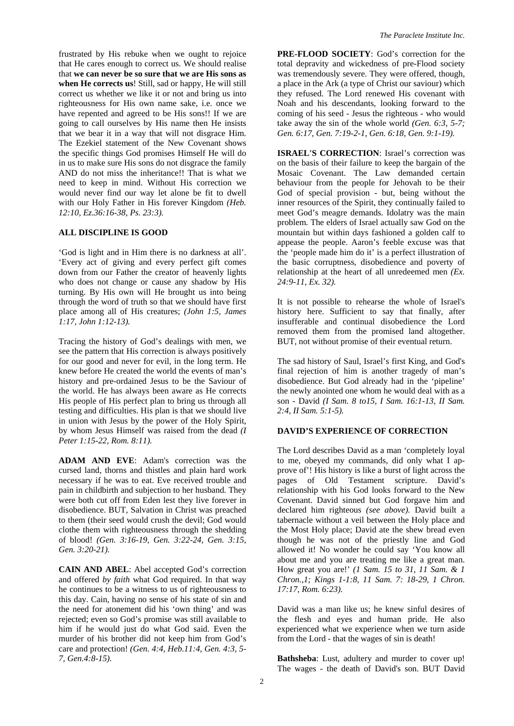frustrated by His rebuke when we ought to rejoice that He cares enough to correct us. We should realise that **we can never be so sure that we are His sons as when He corrects us**! Still, sad or happy, He will still correct us whether we like it or not and bring us into righteousness for His own name sake, i.e. once we have repented and agreed to be His sons!! If we are going to call ourselves by His name then He insists that we bear it in a way that will not disgrace Him. The Ezekiel statement of the New Covenant shows the specific things God promises Himself He will do in us to make sure His sons do not disgrace the family AND do not miss the inheritance!! That is what we need to keep in mind. Without His correction we would never find our way let alone be fit to dwell with our Holy Father in His forever Kingdom *(Heb. 12:10, Ez.36:16-38, Ps. 23:3).* 

#### **ALL DISCIPLINE IS GOOD**

'God is light and in Him there is no darkness at all'. 'Every act of giving and every perfect gift comes down from our Father the creator of heavenly lights who does not change or cause any shadow by His turning. By His own will He brought us into being through the word of truth so that we should have first place among all of His creatures; *(John 1:5, James 1:17, John 1:12-13).* 

Tracing the history of God's dealings with men, we see the pattern that His correction is always positively for our good and never for evil, in the long term. He knew before He created the world the events of man's history and pre-ordained Jesus to be the Saviour of the world. He has always been aware as He corrects His people of His perfect plan to bring us through all testing and difficulties. His plan is that we should live in union with Jesus by the power of the Holy Spirit, by whom Jesus Himself was raised from the dead *(I Peter 1:15-22, Rom. 8:11).* 

**ADAM AND EVE**: Adam's correction was the cursed land, thorns and thistles and plain hard work necessary if he was to eat. Eve received trouble and pain in childbirth and subjection to her husband. They were both cut off from Eden lest they live forever in disobedience. BUT, Salvation in Christ was preached to them (their seed would crush the devil; God would clothe them with righteousness through the shedding of blood! *(Gen. 3:16-19, Gen. 3:22-24, Gen. 3:15, Gen. 3:20-21).*

**CAIN AND ABEL**: Abel accepted God's correction and offered *by faith* what God required. In that way he continues to be a witness to us of righteousness to this day. Cain, having no sense of his state of sin and the need for atonement did his 'own thing' and was rejected; even so God's promise was still available to him if he would just do what God said. Even the murder of his brother did not keep him from God's care and protection! *(Gen. 4:4, Heb.11:4, Gen. 4:3, 5- 7, Gen.4:8-15).* 

**PRE-FLOOD SOCIETY**: God's correction for the total depravity and wickedness of pre-Flood society was tremendously severe. They were offered, though, a place in the Ark (a type of Christ our saviour) which they refused. The Lord renewed His covenant with Noah and his descendants, looking forward to the coming of his seed - Jesus the righteous - who would take away the sin of the whole world *(Gen. 6:3, 5-7; Gen. 6:17, Gen. 7:19-2-1, Gen. 6:18, Gen. 9:1-19).* 

**ISRAEL'S CORRECTION**: Israel's correction was on the basis of their failure to keep the bargain of the Mosaic Covenant. The Law demanded certain behaviour from the people for Jehovah to be their God of special provision - but, being without the inner resources of the Spirit, they continually failed to meet God's meagre demands. Idolatry was the main problem. The elders of Israel actually saw God on the mountain but within days fashioned a golden calf to appease the people. Aaron's feeble excuse was that the 'people made him do it' is a perfect illustration of the basic corruptness, disobedience and poverty of relationship at the heart of all unredeemed men *(Ex. 24:9-11, Ex. 32).* 

It is not possible to rehearse the whole of Israel's history here. Sufficient to say that finally, after insufferable and continual disobedience the Lord removed them from the promised land altogether. BUT, not without promise of their eventual return.

The sad history of Saul, Israel's first King, and God's final rejection of him is another tragedy of man's disobedience. But God already had in the 'pipeline' the newly anointed one whom he would deal with as a son - David *(I Sam. 8 to15, I Sam. 16:1-13, II Sam. 2:4, II Sam. 5:1-5).*

## **DAVID'S EXPERIENCE OF CORRECTION**

The Lord describes David as a man 'completely loyal to me, obeyed my commands, did only what I approve of'! His history is like a burst of light across the pages of Old Testament scripture. David's relationship with his God looks forward to the New Covenant. David sinned but God forgave him and declared him righteous *(see above).* David built a tabernacle without a veil between the Holy place and the Most Holy place; David ate the shew bread even though he was not of the priestly line and God allowed it! No wonder he could say 'You know all about me and you are treating me like a great man. How great you are!' *(1 Sam. 15 to 31, 11 Sam. & 1 Chron.,1; Kings 1-1:8, 11 Sam. 7: 18-29, 1 Chron. 17:17, Rom. 6:23).* 

David was a man like us; he knew sinful desires of the flesh and eyes and human pride. He also experienced what we experience when we turn aside from the Lord - that the wages of sin is death!

**Bathsheba**: Lust, adultery and murder to cover up! The wages - the death of David's son. BUT David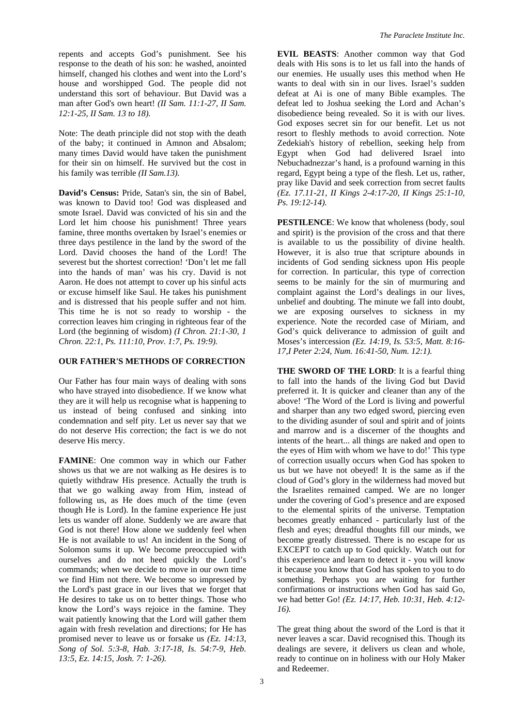repents and accepts God's punishment. See his response to the death of his son: he washed, anointed himself, changed his clothes and went into the Lord's house and worshipped God. The people did not understand this sort of behaviour. But David was a man after God's own heart! *(II Sam. 11:1-27, II Sam. 12:1-25, II Sam. 13 to 18).* 

Note: The death principle did not stop with the death of the baby; it continued in Amnon and Absalom; many times David would have taken the punishment for their sin on himself. He survived but the cost in his family was terrible *(II Sam.13).* 

**David's Census:** Pride, Satan's sin, the sin of Babel, was known to David too! God was displeased and smote Israel. David was convicted of his sin and the Lord let him choose his punishment! Three years famine, three months overtaken by Israel's enemies or three days pestilence in the land by the sword of the Lord. David chooses the hand of the Lord! The severest but the shortest correction! 'Don't let me fall into the hands of man' was his cry. David is not Aaron. He does not attempt to cover up his sinful acts or excuse himself like Saul. He takes his punishment and is distressed that his people suffer and not him. This time he is not so ready to worship - the correction leaves him cringing in righteous fear of the Lord (the beginning of wisdom) *(I Chron. 21:1-30, 1 Chron. 22:1, Ps. 111:10, Prov. 1:7, Ps. 19:9).* 

## **OUR FATHER'S METHODS OF CORRECTION**

Our Father has four main ways of dealing with sons who have strayed into disobedience. If we know what they are it will help us recognise what is happening to us instead of being confused and sinking into condemnation and self pity. Let us never say that we do not deserve His correction; the fact is we do not deserve His mercy.

**FAMINE**: One common way in which our Father shows us that we are not walking as He desires is to quietly withdraw His presence. Actually the truth is that we go walking away from Him, instead of following us, as He does much of the time (even though He is Lord). In the famine experience He just lets us wander off alone. Suddenly we are aware that God is not there! How alone we suddenly feel when He is not available to us! An incident in the Song of Solomon sums it up. We become preoccupied with ourselves and do not heed quickly the Lord's commands; when we decide to move in our own time we find Him not there. We become so impressed by the Lord's past grace in our lives that we forget that He desires to take us on to better things. Those who know the Lord's ways rejoice in the famine. They wait patiently knowing that the Lord will gather them again with fresh revelation and directions; for He has promised never to leave us or forsake us *(Ez. 14:13, Song of Sol. 5:3-8, Hab. 3:17-18, Is. 54:7-9, Heb. 13:5, Ez. 14:15, Josh. 7: 1-26).* 

**EVIL BEASTS**: Another common way that God deals with His sons is to let us fall into the hands of our enemies. He usually uses this method when He wants to deal with sin in our lives. Israel's sudden defeat at Ai is one of many Bible examples. The defeat led to Joshua seeking the Lord and Achan's disobedience being revealed. So it is with our lives. God exposes secret sin for our benefit. Let us not resort to fleshly methods to avoid correction. Note Zedekiah's history of rebellion, seeking help from Egypt when God had delivered Israel into Nebuchadnezzar's hand, is a profound warning in this regard, Egypt being a type of the flesh. Let us, rather, pray like David and seek correction from secret faults *(Ez. 17.11-21, II Kings 2-4:17-20, II Kings 25:1-10, Ps. 19:12-14).* 

**PESTILENCE:** We know that wholeness (body, soul and spirit) is the provision of the cross and that there is available to us the possibility of divine health. However, it is also true that scripture abounds in incidents of God sending sickness upon His people for correction. In particular, this type of correction seems to be mainly for the sin of murmuring and complaint against the Lord's dealings in our lives, unbelief and doubting. The minute we fall into doubt, we are exposing ourselves to sickness in my experience. Note the recorded case of Miriam, and God's quick deliverance to admission of guilt and Moses's intercession *(Ez. 14:19, Is. 53:5, Matt. 8:16- 17,I Peter 2:24, Num. 16:41-50, Num. 12:1).* 

**THE SWORD OF THE LORD**: It is a fearful thing to fall into the hands of the living God but David preferred it. It is quicker and cleaner than any of the above! 'The Word of the Lord is living and powerful and sharper than any two edged sword, piercing even to the dividing asunder of soul and spirit and of joints and marrow and is a discerner of the thoughts and intents of the heart... all things are naked and open to the eyes of Him with whom we have to do!' This type of correction usually occurs when God has spoken to us but we have not obeyed! It is the same as if the cloud of God's glory in the wilderness had moved but the Israelites remained camped. We are no longer under the covering of God's presence and are exposed to the elemental spirits of the universe. Temptation becomes greatly enhanced - particularly lust of the flesh and eyes; dreadful thoughts fill our minds, we become greatly distressed. There is no escape for us EXCEPT to catch up to God quickly. Watch out for this experience and learn to detect it - you will know it because you know that God has spoken to you to do something. Perhaps you are waiting for further confirmations or instructions when God has said Go, we had better Go! *(Ez. 14:17, Heb. 10:31, Heb. 4:12- 16).* 

The great thing about the sword of the Lord is that it never leaves a scar. David recognised this. Though its dealings are severe, it delivers us clean and whole, ready to continue on in holiness with our Holy Maker and Redeemer.